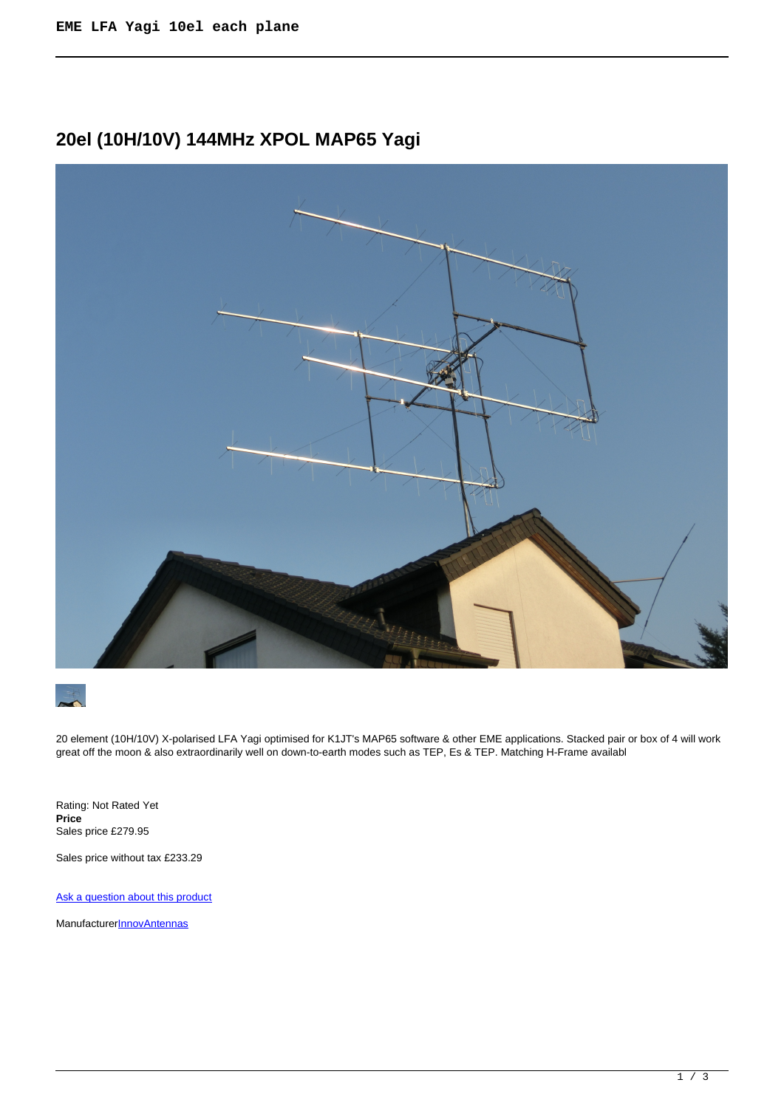# **20el (10H/10V) 144MHz XPOL MAP65 Yagi**





20 element (10H/10V) X-polarised LFA Yagi optimised for K1JT's MAP65 software & other EME applications. Stacked pair or box of 4 will work great off the moon & also extraordinarily well on down-to-earth modes such as TEP, Es & TEP. Matching H-Frame available

Rating: Not Rated Yet **Price**  Sales price £279.95

Sales price without tax £233.29

[Ask a question about this product](https://innovantennas.com/index.php?option=com_virtuemart&view=productdetails&task=askquestion&virtuemart_product_id=504&virtuemart_category_id=1&tmpl=component)

Manufacturer**[InnovAntennas](https://innovantennas.com/index.php?option=com_virtuemart&view=manufacturer&virtuemart_manufacturer_id=1&tmpl=component)**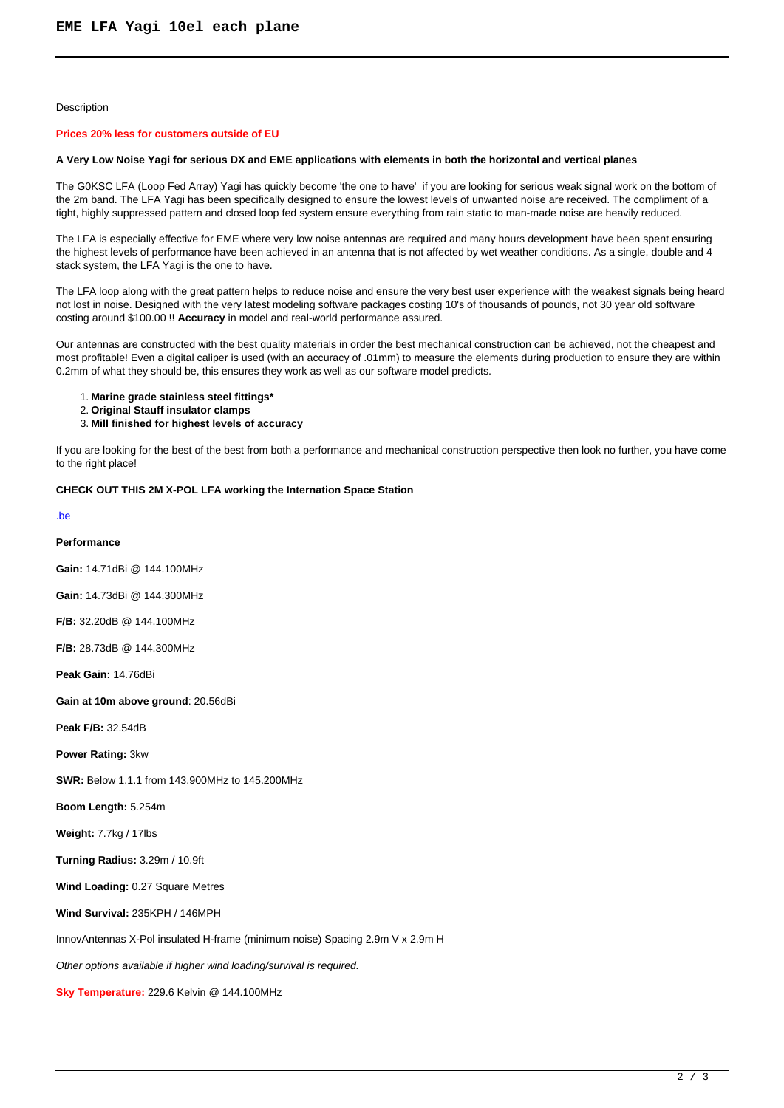## Description

### **Prices 20% less for customers outside of EU**

### **A Very Low Noise Yagi for serious DX and EME applications with elements in both the horizontal and vertical planes**

The G0KSC LFA (Loop Fed Array) Yagi has quickly become 'the one to have' if you are looking for serious weak signal work on the bottom of the 2m band. The LFA Yagi has been specifically designed to ensure the lowest levels of unwanted noise are received. The compliment of a tight, highly suppressed pattern and closed loop fed system ensure everything from rain static to man-made noise are heavily reduced.

The LFA is especially effective for EME where very low noise antennas are required and many hours development have been spent ensuring the highest levels of performance have been achieved in an antenna that is not affected by wet weather conditions. As a single, double and 4 stack system, the LFA Yagi is the one to have.

The LFA loop along with the great pattern helps to reduce noise and ensure the very best user experience with the weakest signals being heard not lost in noise. Designed with the very latest modeling software packages costing 10's of thousands of pounds, not 30 year old software costing around \$100.00 !! **Accuracy** in model and real-world performance assured.

Our antennas are constructed with the best quality materials in order the best mechanical construction can be achieved, not the cheapest and most profitable! Even a digital caliper is used (with an accuracy of .01mm) to measure the elements during production to ensure they are within 0.2mm of what they should be, this ensures they work as well as our software model predicts.

1. **Marine grade stainless steel fittings\***

- 2. **Original Stauff insulator clamps**
- 3. **Mill finished for highest levels of accuracy**

If you are looking for the best of the best from both a performance and mechanical construction perspective then look no further, you have come to the right place!

# **CHECK OUT THIS 2M X-POL LFA working the Internation Space Station**

## [.be](div class=)

## **Performance**

**Gain:** 14.71dBi @ 144.100MHz

**Gain:** 14.73dBi @ 144.300MHz

**F/B:** 32.20dB @ 144.100MHz

**F/B:** 28.73dB @ 144.300MHz

**Peak Gain:** 14.76dBi

**Gain at 10m above ground**: 20.56dBi

**Peak F/B:** 32.54dB

**Power Rating:** 3kw

**SWR:** Below 1.1.1 from 143.900MHz to 145.200MHz

**Boom Length:** 5.254m

**Weight:** 7.7kg / 17lbs

**Turning Radius:** 3.29m / 10.9ft

**Wind Loading:** 0.27 Square Metres

**Wind Survival:** 235KPH / 146MPH

InnovAntennas X-Pol insulated H-frame (minimum noise) Spacing 2.9m V x 2.9m H

Other options available if higher wind loading/survival is required.

**Sky Temperature:** 229.6 Kelvin @ 144.100MHz